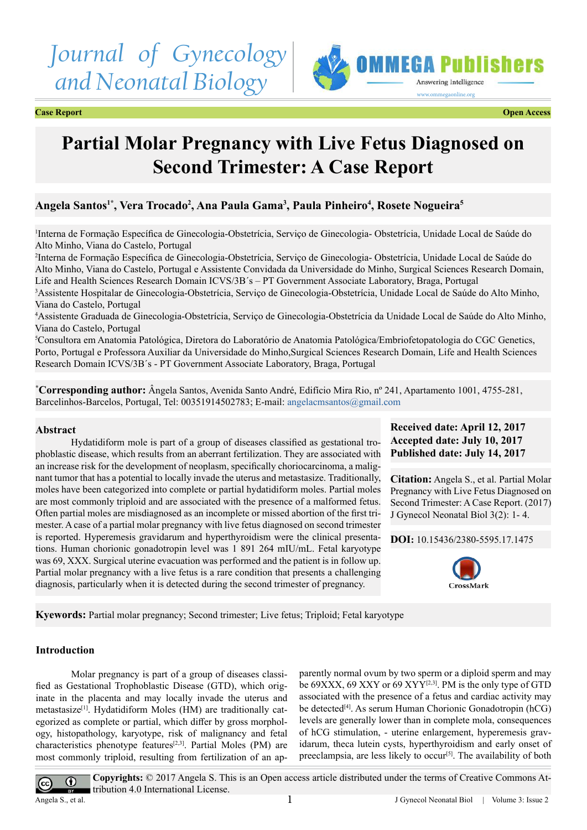# *Journal of Gynecology and Neonatal Biology*



**Case Report Open Access**

## **Partial Molar Pregnancy with Live Fetus Diagnosed on Second Trimester: A Case Report**

### **Angela Santos1\*, Vera Trocado2 , Ana Paula Gama3 , Paula Pinheiro4 , Rosete Nogueira5**

1 Interna de Formação Específica de Ginecologia-Obstetrícia, Serviço de Ginecologia- Obstetrícia, Unidade Local de Saúde do Alto Minho, Viana do Castelo, Portugal

2 Interna de Formação Específica de Ginecologia-Obstetrícia, Serviço de Ginecologia- Obstetrícia, Unidade Local de Saúde do Alto Minho, Viana do Castelo, Portugal e Assistente Convidada da Universidade do Minho, Surgical Sciences Research Domain, Life and Health Sciences Research Domain ICVS/3B´s – PT Government Associate Laboratory, Braga, Portugal

3 Assistente Hospitalar de Ginecologia-Obstetrícia, Serviço de Ginecologia-Obstetrícia, Unidade Local de Saúde do Alto Minho, Viana do Castelo, Portugal

4 Assistente Graduada de Ginecologia-Obstetrícia, Serviço de Ginecologia-Obstetrícia da Unidade Local de Saúde do Alto Minho, Viana do Castelo, Portugal

5 Consultora em Anatomia Patológica, Diretora do Laboratório de Anatomia Patológica/Embriofetopatologia do CGC Genetics, Porto, Portugal e Professora Auxiliar da Universidade do Minho,Surgical Sciences Research Domain, Life and Health Sciences Research Domain ICVS/3B´s - PT Government Associate Laboratory, Braga, Portugal

**\* Corresponding author:** Ângela Santos, Avenida Santo André, Edifício Mira Rio, nº 241, Apartamento 1001, 4755-281, Barcelinhos-Barcelos, Portugal, Tel: 00351914502783; E-mail: [angelacmsantos@gmail.com](mailto:angelacmsantos@gmail.com)

#### **Abstract**

Hydatidiform mole is part of a group of diseases classified as gestational trophoblastic disease, which results from an aberrant fertilization. They are associated with an increase risk for the development of neoplasm, specifically choriocarcinoma, a malignant tumor that has a potential to locally invade the uterus and metastasize. Traditionally, moles have been categorized into complete or partial hydatidiform moles. Partial moles are most commonly triploid and are associated with the presence of a malformed fetus. Often partial moles are misdiagnosed as an incomplete or missed abortion of the first trimester. A case of a partial molar pregnancy with live fetus diagnosed on second trimester is reported. Hyperemesis gravidarum and hyperthyroidism were the clinical presentations. Human chorionic gonadotropin level was 1 891 264 mIU/mL. Fetal karyotype was 69, XXX. Surgical uterine evacuation was performed and the patient is in follow up. Partial molar pregnancy with a live fetus is a rare condition that presents a challenging diagnosis, particularly when it is detected during the second trimester of pregnancy.

**Received date: April 12, 2017 Accepted date: July 10, 2017 Published date: July 14, 2017**

**Citation:** Angela S., et al. Partial Molar Pregnancy with Live Fetus Diagnosed on Second Trimester: A Case Report. (2017) J Gynecol Neonatal Biol 3(2): 1- 4.

**DOI:** [10.15436/2380-5595.17.](https://doi.org/10.15436/2380-5595.17.1475)1475



**Kyewords:** Partial molar pregnancy; Second trimester; Live fetus; Triploid; Fetal karyotype

#### **Introduction**

Molar pregnancy is part of a group of diseases classified as Gestational Trophoblastic Disease (GTD), which originate in the placenta and may locally invade the uterus and metastasize<sup>[\[1\]](#page-3-0)</sup>. Hydatidiform Moles (HM) are traditionally categorized as complete or partial, which differ by gross morphology, histopathology, karyotype, risk of malignancy and fetal characteristics phenotype features<sup>[2,3]</sup>. Partial Moles (PM) are most commonly triploid, resulting from fertilization of an ap-

parently normal ovum by two sperm or a diploid sperm and may be 69XXX, 69 XXY or 69 XYY<sup>[2,3]</sup>. PM is the only type of GTD associated with the presence of a fetus and cardiac activity may be detected<sup>[\[4\]](#page-3-2)</sup>. As serum Human Chorionic Gonadotropin (hCG) levels are generally lower than in complete mola, consequences of hCG stimulation, - uterine enlargement, hyperemesis gravidarum, theca lutein cysts, hyperthyroidism and early onset of preeclampsia, are less likely to occur<sup>[\[5\]](#page-3-3)</sup>. The availability of both



**Copyrights:** © 2017 Angela S. This is an Open access article distributed under the terms of Creative Commons Attribution 4.0 International License.

Angela S., et al.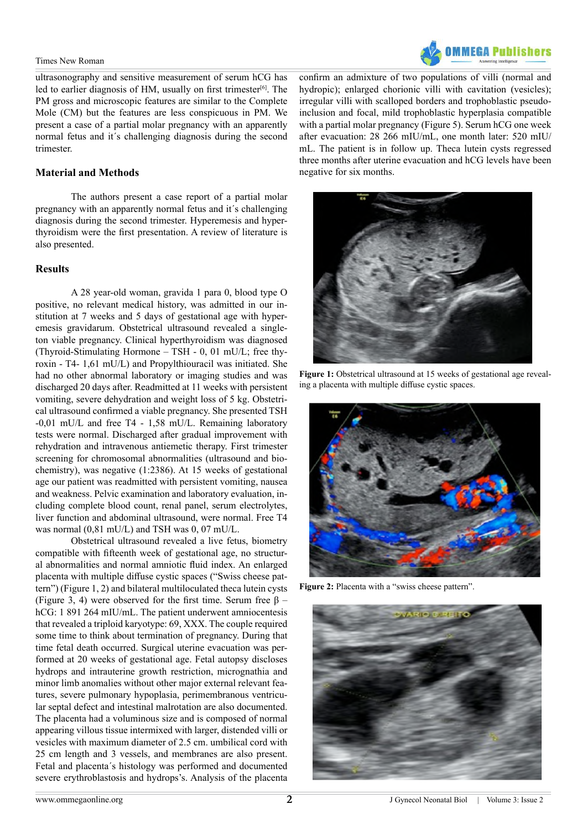#### Times New Roman

ultrasonography and sensitive measurement of serum hCG has led to earlier diagnosis of HM, usually on first trimester $[6]$ . The PM gross and microscopic features are similar to the Complete Mole (CM) but the features are less conspicuous in PM. We present a case of a partial molar pregnancy with an apparently normal fetus and it´s challenging diagnosis during the second trimester.

#### **Material and Methods**

The authors present a case report of a partial molar pregnancy with an apparently normal fetus and it´s challenging diagnosis during the second trimester. Hyperemesis and hyperthyroidism were the first presentation. A review of literature is also presented.

#### **Results**

A 28 year-old woman, gravida 1 para 0, blood type O positive, no relevant medical history, was admitted in our institution at 7 weeks and 5 days of gestational age with hyperemesis gravidarum. Obstetrical ultrasound revealed a singleton viable pregnancy. Clinical hyperthyroidism was diagnosed (Thyroid-Stimulating Hormone – TSH - 0, 01 mU/L; free thyroxin - T4- 1,61 mU/L) and Propylthiouracil was initiated. She had no other abnormal laboratory or imaging studies and was discharged 20 days after. Readmitted at 11 weeks with persistent vomiting, severe dehydration and weight loss of 5 kg. Obstetrical ultrasound confirmed a viable pregnancy. She presented TSH -0,01 mU/L and free T4 - 1,58 mU/L. Remaining laboratory tests were normal. Discharged after gradual improvement with rehydration and intravenous antiemetic therapy. First trimester screening for chromosomal abnormalities (ultrasound and biochemistry), was negative (1:2386). At 15 weeks of gestational age our patient was readmitted with persistent vomiting, nausea and weakness. Pelvic examination and laboratory evaluation, including complete blood count, renal panel, serum electrolytes, liver function and abdominal ultrasound, were normal. Free T4 was normal (0,81 mU/L) and TSH was 0, 07 mU/L.

Obstetrical ultrasound revealed a live fetus, biometry compatible with fifteenth week of gestational age, no structural abnormalities and normal amniotic fluid index. An enlarged placenta with multiple diffuse cystic spaces ("Swiss cheese pattern") (Figure 1, 2) and bilateral multiloculated theca lutein cysts (Figure 3, 4) were observed for the first time. Serum free  $\beta$  – hCG: 1 891 264 mIU/mL. The patient underwent amniocentesis that revealed a triploid karyotype: 69, XXX. The couple required some time to think about termination of pregnancy. During that time fetal death occurred. Surgical uterine evacuation was performed at 20 weeks of gestational age. Fetal autopsy discloses hydrops and intrauterine growth restriction, micrognathia and minor limb anomalies without other major external relevant features, severe pulmonary hypoplasia, perimembranous ventricular septal defect and intestinal malrotation are also documented. The placenta had a voluminous size and is composed of normal appearing villous tissue intermixed with larger, distended villi or vesicles with maximum diameter of 2.5 cm. umbilical cord with 25 cm length and 3 vessels, and membranes are also present. Fetal and placenta´s histology was performed and documented severe erythroblastosis and hydrops's. Analysis of the placenta



confirm an admixture of two populations of villi (normal and hydropic); enlarged chorionic villi with cavitation (vesicles); irregular villi with scalloped borders and trophoblastic pseudoinclusion and focal, mild trophoblastic hyperplasia compatible with a partial molar pregnancy (Figure 5). Serum hCG one week after evacuation: 28 266 mIU/mL, one month later: 520 mIU/ mL. The patient is in follow up. Theca lutein cysts regressed three months after uterine evacuation and hCG levels have been negative for six months.



**Figure 1:** Obstetrical ultrasound at 15 weeks of gestational age revealing a placenta with multiple diffuse cystic spaces.



Figure 2: Placenta with a "swiss cheese pattern".

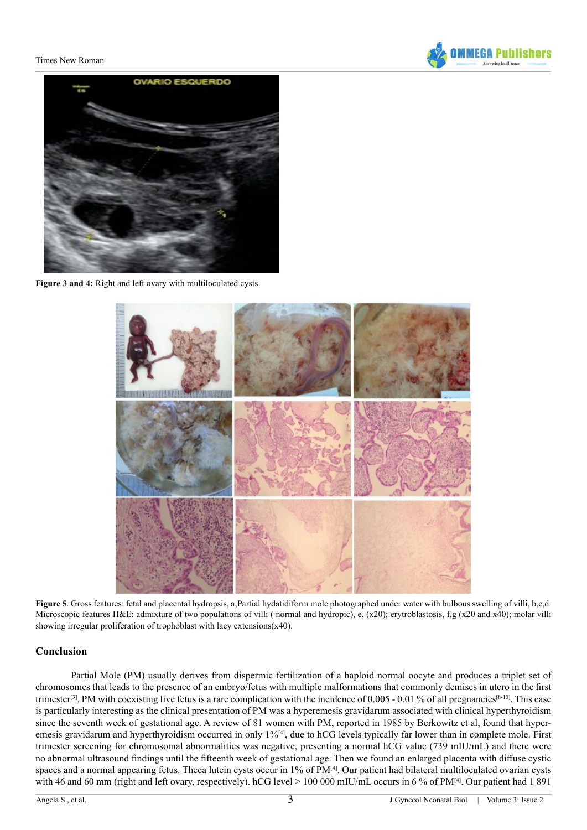#### Times New Roman





Figure 3 and 4: Right and left ovary with multiloculated cysts.



**Figure 5**. Gross features: fetal and placental hydropsis, a;Partial hydatidiform mole photographed under water with bulbous swelling of villi, b,c,d. Microscopic features H&E: admixture of two populations of villi (normal and hydropic), e, (x20); erytroblastosis, f,g (x20 and x40); molar villi showing irregular proliferation of trophoblast with lacy extensions(x40).

#### **Conclusion**

Partial Mole (PM) usually derives from dispermic fertilization of a haploid normal oocyte and produces a triplet set of chromosomes that leads to the presence of an embryo/fetus with multiple malformations that commonly demises in utero in the first trimester<sup>[\[3\]](#page-3-5)</sup>. PM with coexisting live fetus is a rare complication with the incidence of 0.005 - 0.01 % of all pregnancies<sup>[8-10]</sup>. This case is particularly interesting as the clinical presentation of PM was a hyperemesis gravidarum associated with clinical hyperthyroidism since the seventh week of gestational age. A review of 81 women with PM, reported in 1985 by Berkowitz et al, found that hyperemesis gravidarum and hyperthyroidism occurred in only 1%[\[4\]](#page-3-2), due to hCG levels typically far lower than in complete mole. First trimester screening for chromosomal abnormalities was negative, presenting a normal hCG value (739 mIU/mL) and there were no abnormal ultrasound findings until the fifteenth week of gestational age. Then we found an enlarged placenta with diffuse cystic spaces and a normal appearing fetus. Theca lutein cysts occur in 1% of PM[\[4\]](#page-3-2). Our patient had bilateral multiloculated ovarian cysts with 46 and 60 mm (right and left ovary, respectively). hCG level > 100 000 mIU/mL occurs in 6 % of PM<sup>[\[4\]](#page-3-2)</sup>. Our patient had 1 891